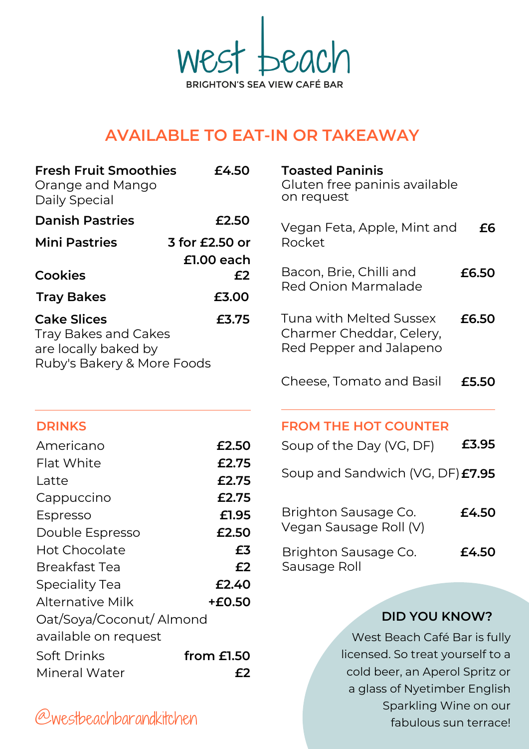We **BRIGHTON'S SEA VIEW CAFÉ BAR** 

# **AVAILABLE TO EAT-IN OR TAKEAWAY**

| <b>Fresh Fruit Smoothies</b><br>Orange and Mango<br>Daily Special                                                | £4.50          |                                                      |  |
|------------------------------------------------------------------------------------------------------------------|----------------|------------------------------------------------------|--|
| <b>Danish Pastries</b>                                                                                           | £2.50          | Vegan Feta, App                                      |  |
| <b>Mini Pastries</b>                                                                                             | 3 for £2.50 or | Rocket                                               |  |
|                                                                                                                  | $£1.00$ each   |                                                      |  |
| <b>Cookies</b>                                                                                                   | £2             | Bacon, Brie, Chill                                   |  |
| <b>Tray Bakes</b>                                                                                                | £3.00          | <b>Red Onion Marm</b>                                |  |
| <b>Cake Slices</b><br>£3.75<br><b>Tray Bakes and Cakes</b><br>are locally baked by<br>Ruby's Bakery & More Foods |                | Tuna with Melter<br>Charmer Chedda<br>Red Pepper and |  |
|                                                                                                                  |                | Cheese, Tomato                                       |  |
| <b>DRINKS</b>                                                                                                    |                | <b>FROM THE HOT</b>                                  |  |
| Americano                                                                                                        | £2.50          | Soup of the Day                                      |  |
| Flat White                                                                                                       | £2.75          |                                                      |  |
| Latte                                                                                                            | £2.75          | Soup and Sandw                                       |  |
| Cappuccino                                                                                                       | £2.75          |                                                      |  |
| Espresso                                                                                                         | £1.95          | <b>Brighton Sausag</b>                               |  |
| Double Espresso                                                                                                  | £2.50          | Vegan Sausage I                                      |  |
| <b>Hot Chocolate</b>                                                                                             | £3             | Brighton Sausag                                      |  |
| <b>Breakfast Tea</b>                                                                                             | £2             | Sausage Roll                                         |  |
| <b>Speciality Tea</b>                                                                                            | £2.40          |                                                      |  |
| <b>Alternative Milk</b>                                                                                          | +£0.50         |                                                      |  |
| Oat/Soya/Coconut/ Almond                                                                                         |                |                                                      |  |
| available on request                                                                                             |                | West                                                 |  |
| Soft Drinks                                                                                                      | from $E1.50$   | licensed                                             |  |
| Mineral Water                                                                                                    | £2             | cold be                                              |  |

| <b>Toasted Paninis</b><br>Gluten free paninis available<br>on request          |       |
|--------------------------------------------------------------------------------|-------|
| Vegan Feta, Apple, Mint and<br>Rocket                                          | £6    |
| Bacon, Brie, Chilli and<br><b>Red Onion Marmalade</b>                          | £6.50 |
| Tuna with Melted Sussex<br>Charmer Cheddar, Celery,<br>Red Pepper and Jalapeno | £6.50 |
| Cheese, Tomato and Basil                                                       | £5.50 |
| <b>FROM THE HOT COUNTER</b>                                                    |       |
| Soup of the Day (VG, DF)                                                       | £3.95 |
| Soup and Sandwich (VG, DF) £7.95                                               |       |
| Brighton Sausage Co.<br>Vegan Sausage Roll (V)                                 | £4.50 |
| Brighton Sausage Co.<br>Sausage Roll                                           | £4.50 |

# **DID YOU KNOW?**

West Beach Café Bar is fully licensed. So treat yourself to a cold beer, an Aperol Spritz or a glass of Nyetimber English Sparkling Wine on our fabulous sun terrace!

@westbeachbarandkitchen